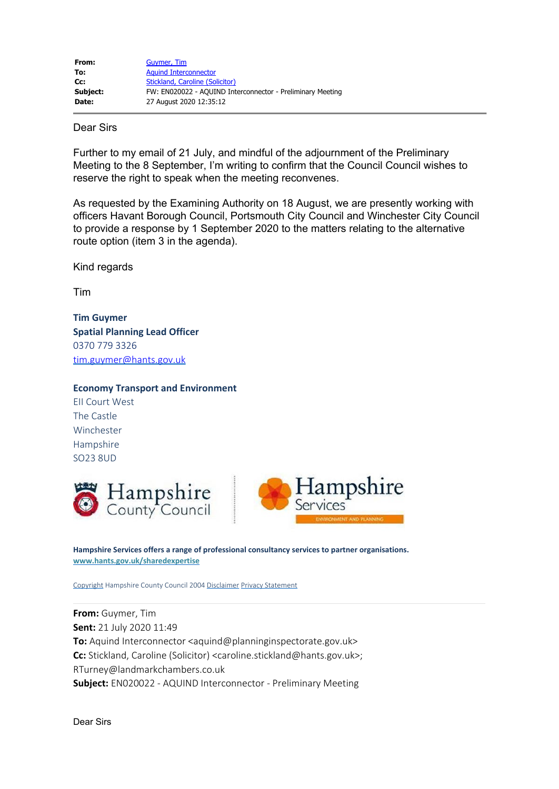| From:    | Guymer, Tim                                                |
|----------|------------------------------------------------------------|
| To:      | <b>Aguind Interconnector</b>                               |
| Cc:      | Stickland, Caroline (Solicitor)                            |
| Subject: | FW: EN020022 - AQUIND Interconnector - Preliminary Meeting |
| Date:    | 27 August 2020 12:35:12                                    |

## Dear Sirs

Further to my email of 21 July, and mindful of the adjournment of the Preliminary Meeting to the 8 September, I'm writing to confirm that the Council Council wishes to reserve the right to speak when the meeting reconvenes.

As requested by the Examining Authority on 18 August, we are presently working with officers Havant Borough Council, Portsmouth City Council and Winchester City Council to provide a response by 1 September 2020 to the matters relating to the alternative route option (item 3 in the agenda).

Kind regards

Tim

**Tim Guymer Spatial Planning Lead Officer** 0370 779 3326 [tim.guymer@hants.gov.uk](mailto:tim.guymer@hants.gov.uk)

## **Economy Transport and Environment**

EII Court West The Castle Winchester Hampshire SO23 8UD



**Hampshire Services offers a range of professional consultancy services to partner organisations. [www.hants.gov.uk/sharedexpertise](https://gbr01.safelinks.protection.outlook.com/?url=http%3A%2F%2Fwww.hants.gov.uk%2Fsharedexpertise&data=02%7C01%7Caquind%40planninginspectorate.gov.uk%7Ce4433d9632bb4b61e36808d84a7d41b5%7C5878df986f8848ab9322998ce557088d%7C1%7C0%7C637341249116617286&sdata=h9ucHa%2F%2BYb2WQ2ROE98ivb85avJ6q81U7licu73NcbY%3D&reserved=0)**

[Copyright](https://gbr01.safelinks.protection.outlook.com/?url=http%3A%2F%2Fwww3.hants.gov.uk%2Fcopyrite.htm&data=02%7C01%7Caquind%40planninginspectorate.gov.uk%7Ce4433d9632bb4b61e36808d84a7d41b5%7C5878df986f8848ab9322998ce557088d%7C1%7C0%7C637341249116627242&sdata=yfF%2FafLzwhnzEfAvy90xMQrDQKjy560JR8Wnsx1F14o%3D&reserved=0) Hampshire County Council 2004 [Disclaimer](https://gbr01.safelinks.protection.outlook.com/?url=http%3A%2F%2Fwww3.hants.gov.uk%2Fdisclaimer&data=02%7C01%7Caquind%40planninginspectorate.gov.uk%7Ce4433d9632bb4b61e36808d84a7d41b5%7C5878df986f8848ab9322998ce557088d%7C1%7C0%7C637341249116627242&sdata=wn7G2gruX5p2n2Zy6Lp8D9DxXmKlZtT3SsyO9WDcjo4%3D&reserved=0) [Privacy Statement](https://gbr01.safelinks.protection.outlook.com/?url=http%3A%2F%2Fwww3.hants.gov.uk%2Fprivacy&data=02%7C01%7Caquind%40planninginspectorate.gov.uk%7Ce4433d9632bb4b61e36808d84a7d41b5%7C5878df986f8848ab9322998ce557088d%7C1%7C0%7C637341249116637200&sdata=JYunq%2FxvYs3sR2HOZcmf4gxQB3fcg6zZcD%2FXd6sWggM%3D&reserved=0)

**From:** Guymer, Tim **Sent:** 21 July 2020 11:49 **To:** Aquind Interconnector <aquind@planninginspectorate.gov.uk> **Cc:** Stickland, Caroline (Solicitor) <caroline.stickland@hants.gov.uk>; RTurney@landmarkchambers.co.uk **Subject:** EN020022 - AQUIND Interconnector - Preliminary Meeting